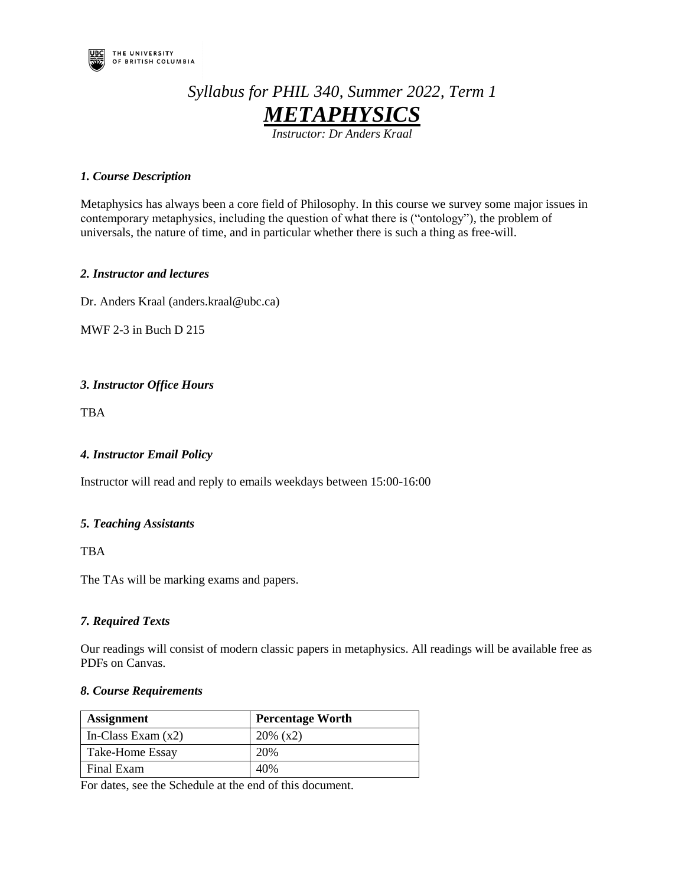

# *Syllabus for PHIL 340, Summer 2022, Term 1 METAPHYSICS*

*Instructor: Dr Anders Kraal* 

# *1. Course Description*

Metaphysics has always been a core field of Philosophy. In this course we survey some major issues in contemporary metaphysics, including the question of what there is ("ontology"), the problem of universals, the nature of time, and in particular whether there is such a thing as free-will.

## *2. Instructor and lectures*

Dr. Anders Kraal (anders.kraal@ubc.ca)

MWF 2-3 in Buch D 215

# *3. Instructor Office Hours*

TBA

# *4. Instructor Email Policy*

Instructor will read and reply to emails weekdays between 15:00-16:00

# *5. Teaching Assistants*

TBA

The TAs will be marking exams and papers.

# *7. Required Texts*

Our readings will consist of modern classic papers in metaphysics. All readings will be available free as PDFs on Canvas.

### *8. Course Requirements*

| <b>Assignment</b>      | <b>Percentage Worth</b> |
|------------------------|-------------------------|
| In-Class Exam $(x2)$   | $20\%$ (x2)             |
| <b>Take-Home Essay</b> | 20%                     |
| Final Exam             | 40%                     |

For dates, see the Schedule at the end of this document.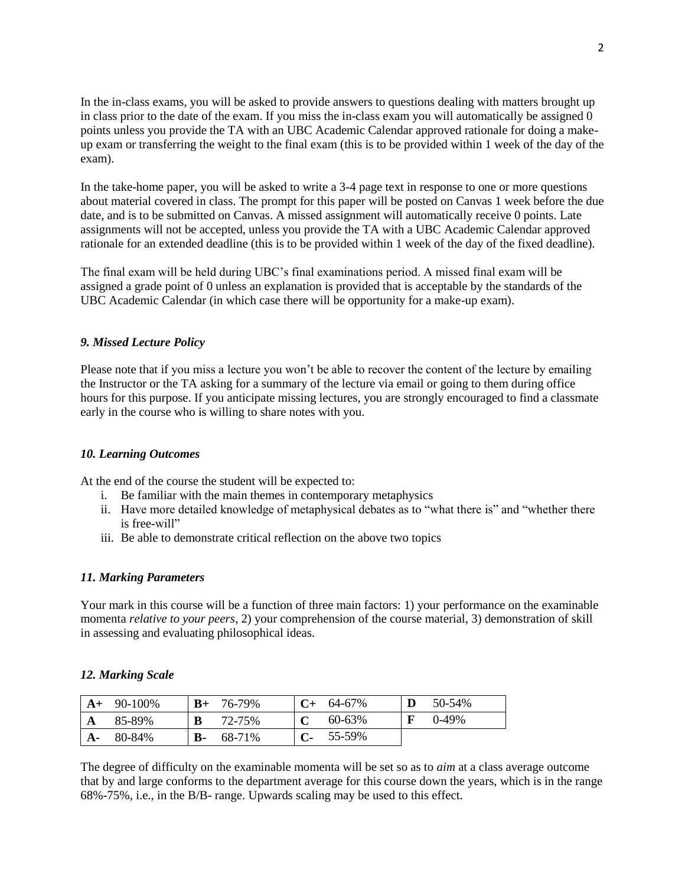In the in-class exams, you will be asked to provide answers to questions dealing with matters brought up in class prior to the date of the exam. If you miss the in-class exam you will automatically be assigned 0 points unless you provide the TA with an UBC Academic Calendar approved rationale for doing a makeup exam or transferring the weight to the final exam (this is to be provided within 1 week of the day of the exam).

In the take-home paper, you will be asked to write a 3-4 page text in response to one or more questions about material covered in class. The prompt for this paper will be posted on Canvas 1 week before the due date, and is to be submitted on Canvas. A missed assignment will automatically receive 0 points. Late assignments will not be accepted, unless you provide the TA with a UBC Academic Calendar approved rationale for an extended deadline (this is to be provided within 1 week of the day of the fixed deadline).

The final exam will be held during UBC's final examinations period. A missed final exam will be assigned a grade point of 0 unless an explanation is provided that is acceptable by the standards of the UBC Academic Calendar (in which case there will be opportunity for a make-up exam).

# *9. Missed Lecture Policy*

Please note that if you miss a lecture you won't be able to recover the content of the lecture by emailing the Instructor or the TA asking for a summary of the lecture via email or going to them during office hours for this purpose. If you anticipate missing lectures, you are strongly encouraged to find a classmate early in the course who is willing to share notes with you.

### *10. Learning Outcomes*

At the end of the course the student will be expected to:

- i. Be familiar with the main themes in contemporary metaphysics
- ii. Have more detailed knowledge of metaphysical debates as to "what there is" and "whether there is free-will"
- iii. Be able to demonstrate critical reflection on the above two topics

# *11. Marking Parameters*

Your mark in this course will be a function of three main factors: 1) your performance on the examinable momenta *relative to your peers*, 2) your comprehension of the course material, 3) demonstration of skill in assessing and evaluating philosophical ideas.

### *12. Marking Scale*

| $A+$ | 90-100% | $B+$      | 76-79% | $C+$ | 64-67% |   | 50-54% |
|------|---------|-----------|--------|------|--------|---|--------|
| A    | 85-89%  | в         | 72-75% |      | 60-63% | F | 0-49%  |
| $A-$ | 80-84%  | <b>B-</b> | 68-71% |      | 55-59% |   |        |

The degree of difficulty on the examinable momenta will be set so as to *aim* at a class average outcome that by and large conforms to the department average for this course down the years, which is in the range 68%-75%, i.e., in the B/B- range. Upwards scaling may be used to this effect.